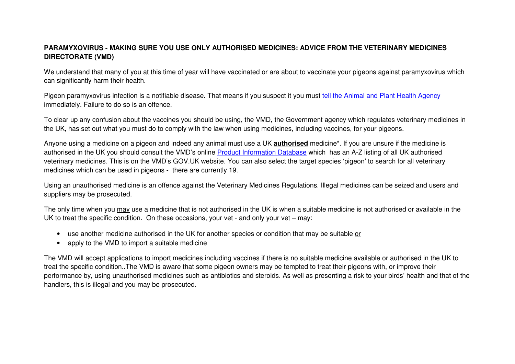## **PARAMYXOVIRUS - MAKING SURE YOU USE ONLY AUTHORISED MEDICINES: ADVICE FROM THE VETERINARY MEDICINES DIRECTORATE (VMD)**

We understand that many of you at this time of year will have vaccinated or are about to vaccinate your pigeons against paramyxovirus which can significantly harm their health.

Pigeon paramyxovirus infection is a notifiable disease. That means if you suspect it you must tell the Animal and Plant Health Agency immediately. Failure to do so is an offence.

To clear up any confusion about the vaccines you should be using, the VMD, the Government agency which regulates veterinary medicines in the UK, has set out what you must do to comply with the law when using medicines, including vaccines, for your pigeons.

Anyone using a medicine on a pigeon and indeed any animal must use a UK **authorised** medicine\*. If you are unsure if the medicine is authorised in the UK you should consult the VMD's online Product Information Database which has an A-Z listing of all UK authorised veterinary medicines. This is on the VMD's GOV.UK website. You can also select the target species 'pigeon' to search for all veterinary medicines which can be used in pigeons - there are currently 19.

Using an unauthorised medicine is an offence against the Veterinary Medicines Regulations. Illegal medicines can be seized and users and suppliers may be prosecuted.

The only time when you may use a medicine that is not authorised in the UK is when a suitable medicine is not authorised or available in the UK to treat the specific condition. On these occasions, your vet - and only your vet – may:

- use another medicine authorised in the UK for another species or condition that may be suitable or
- apply to the VMD to import a suitable medicine

The VMD will accept applications to import medicines including vaccines if there is no suitable medicine available or authorised in the UK to treat the specific condition..The VMD is aware that some pigeon owners may be tempted to treat their pigeons with, or improve their performance by, using unauthorised medicines such as antibiotics and steroids. As well as presenting a risk to your birds' health and that of the handlers, this is illegal and you may be prosecuted.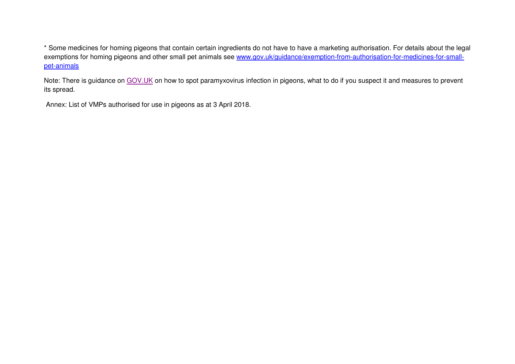\* Some medicines for homing pigeons that contain certain ingredients do not have to have a marketing authorisation. For details about the legal exemptions for homing pigeons and other small pet animals see www.gov.uk/guidance/exemption-from-authorisation-for-medicines-for-smallpet-animals

Note: There is guidance on GOV.UK on how to spot paramyxovirus infection in pigeons, what to do if you suspect it and measures to prevent its spread.

Annex: List of VMPs authorised for use in pigeons as at 3 April 2018.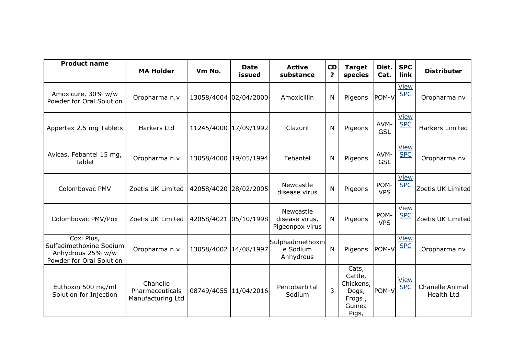| <b>Product name</b>                                                                    | <b>MA Holder</b>                                 | Vm No.                | <b>Date</b><br>issued | <b>Active</b><br>substance                     | <b>CD</b><br>? | <b>Target</b><br>species                                            | Dist.<br>Cat.      | <b>SPC</b><br>link        | <b>Distributer</b>                   |
|----------------------------------------------------------------------------------------|--------------------------------------------------|-----------------------|-----------------------|------------------------------------------------|----------------|---------------------------------------------------------------------|--------------------|---------------------------|--------------------------------------|
| Amoxicure, 30% w/w<br>Powder for Oral Solution                                         | Oropharma n.v                                    | 13058/4004            | 02/04/2000            | Amoxicillin                                    | N              | Pigeons                                                             | POM-V              | <b>View</b><br><b>SPC</b> | Oropharma nv                         |
| Appertex 2.5 mg Tablets                                                                | Harkers Ltd                                      | 11245/4000 17/09/1992 |                       | Clazuril                                       | N              | Pigeons                                                             | AVM-<br><b>GSL</b> | <b>View</b><br><b>SPC</b> | Harkers Limited                      |
| Avicas, Febantel 15 mg,<br>Tablet                                                      | Oropharma n.v                                    | 13058/4000 19/05/1994 |                       | Febantel                                       | N              | Pigeons                                                             | AVM-<br><b>GSL</b> | <b>View</b><br><b>SPC</b> | Oropharma nv                         |
| Colombovac PMV                                                                         | Zoetis UK Limited                                | 42058/4020 28/02/2005 |                       | Newcastle<br>disease virus                     | N              | Pigeons                                                             | POM-<br><b>VPS</b> | <b>View</b><br><b>SPC</b> | Zoetis UK Limited                    |
| Colombovac PMV/Pox                                                                     | Zoetis UK Limited                                | 42058/4021            | 05/10/1998            | Newcastle<br>disease virus,<br>Pigeonpox virus | N              | Pigeons                                                             | POM-<br><b>VPS</b> | <b>View</b><br><b>SPC</b> | Zoetis UK Limited                    |
| Coxi Plus,<br>Sulfadimethoxine Sodium<br>Anhydrous 25% w/w<br>Powder for Oral Solution | Oropharma n.v                                    | 13058/4002            | 14/08/1997            | Sulphadimethoxin<br>e Sodium<br>Anhydrous      | N              | Pigeons                                                             | POM-V              | <b>View</b><br><b>SPC</b> | Oropharma nv                         |
| Euthoxin 500 mg/ml<br>Solution for Injection                                           | Chanelle<br>Pharmaceuticals<br>Manufacturing Ltd | 08749/4055 11/04/2016 |                       | Pentobarbital<br>Sodium                        | $\overline{3}$ | Cats,<br>Cattle,<br>Chickens,<br>Dogs,<br>Frogs,<br>Guinea<br>Pigs, | POM-V              | <b>View</b><br><b>SPC</b> | Chanelle Animal<br><b>Health Ltd</b> |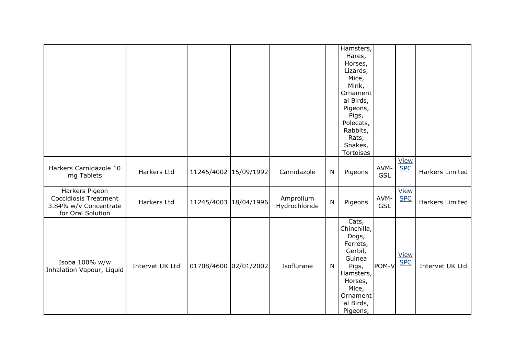|                                                                                              |                 |                       |            |                            |              | Hamsters,<br>Hares,<br>Horses,<br>Lizards,<br>Mice,<br>Mink,<br>Ornament<br>al Birds,<br>Pigeons,<br>Pigs,<br>Polecats,<br>Rabbits,<br>Rats,<br>Snakes,<br><b>Tortoises</b> |                    |                           |                 |
|----------------------------------------------------------------------------------------------|-----------------|-----------------------|------------|----------------------------|--------------|-----------------------------------------------------------------------------------------------------------------------------------------------------------------------------|--------------------|---------------------------|-----------------|
| Harkers Carnidazole 10<br>mg Tablets                                                         | Harkers Ltd     | 11245/4002 15/09/1992 |            | Carnidazole                | $\mathsf{N}$ | Pigeons                                                                                                                                                                     | AVM-<br><b>GSL</b> | <b>View</b><br><b>SPC</b> | Harkers Limited |
| Harkers Pigeon<br><b>Coccidiosis Treatment</b><br>3.84% w/v Concentrate<br>for Oral Solution | Harkers Ltd     | 11245/4003 18/04/1996 |            | Amprolium<br>Hydrochloride | $\mathsf{N}$ | Pigeons                                                                                                                                                                     | AVM-<br><b>GSL</b> | <b>View</b><br><b>SPC</b> | Harkers Limited |
| Isoba 100% w/w<br>Inhalation Vapour, Liquid                                                  | Intervet UK Ltd | 01708/4600            | 02/01/2002 | Isoflurane                 | N            | Cats,<br>Chinchilla,<br>Dogs,<br>Ferrets,<br>Gerbil,<br>Guinea<br>Pigs,<br>Hamsters,<br>Horses,<br>Mice,<br>Ornament<br>al Birds,<br>Pigeons,                               | POM-V              | <b>View</b><br><b>SPC</b> | Intervet UK Ltd |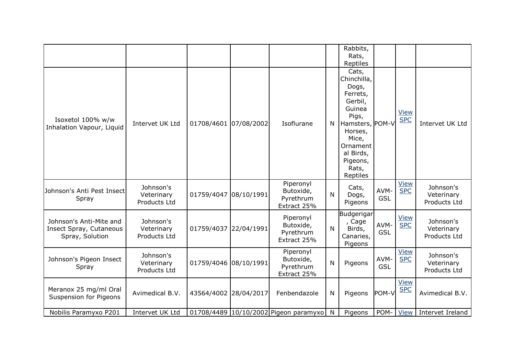|                                                                       |                                         |                       |                                                    |              | Rabbits,<br>Rats,<br>Reptiles                                                                                                                                              |                    |                           |                                         |
|-----------------------------------------------------------------------|-----------------------------------------|-----------------------|----------------------------------------------------|--------------|----------------------------------------------------------------------------------------------------------------------------------------------------------------------------|--------------------|---------------------------|-----------------------------------------|
| Isoxetol 100% w/w<br>Inhalation Vapour, Liquid                        | Intervet UK Ltd                         | 01708/4601 07/08/2002 | Isoflurane                                         | N            | Cats,<br>Chinchilla,<br>Dogs,<br>Ferrets,<br>Gerbil,<br>Guinea<br>Pigs,<br>Hamsters, POM-V<br>Horses,<br>Mice,<br>Ornament l<br>al Birds,<br>Pigeons,<br>Rats,<br>Reptiles |                    | <b>View</b><br><b>SPC</b> | Intervet UK Ltd                         |
| Johnson's Anti Pest Insect<br>Spray                                   | Johnson's<br>Veterinary<br>Products Ltd | 01759/4047 08/10/1991 | Piperonyl<br>Butoxide,<br>Pyrethrum<br>Extract 25% | $\mathsf{N}$ | Cats,<br>Dogs,<br>Pigeons                                                                                                                                                  | AVM-<br><b>GSL</b> | <b>View</b><br><b>SPC</b> | Johnson's<br>Veterinary<br>Products Ltd |
| Johnson's Anti-Mite and<br>Insect Spray, Cutaneous<br>Spray, Solution | Johnson's<br>Veterinary<br>Products Ltd | 01759/4037 22/04/1991 | Piperonyl<br>Butoxide,<br>Pyrethrum<br>Extract 25% | N            | Budgerigar<br>, Cage<br>Birds,<br>Canaries,<br>Pigeons                                                                                                                     | AVM-<br><b>GSL</b> | <b>View</b><br><b>SPC</b> | Johnson's<br>Veterinary<br>Products Ltd |
| Johnson's Pigeon Insect<br>Spray                                      | Johnson's<br>Veterinary<br>Products Ltd | 01759/4046 08/10/1991 | Piperonyl<br>Butoxide,<br>Pyrethrum<br>Extract 25% | $\mathsf{N}$ | Pigeons                                                                                                                                                                    | AVM-<br><b>GSL</b> | <b>View</b><br><b>SPC</b> | Johnson's<br>Veterinary<br>Products Ltd |
| Meranox 25 mg/ml Oral<br><b>Suspension for Pigeons</b>                | Avimedical B.V.                         | 43564/4002 28/04/2017 | Fenbendazole                                       | N            | Pigeons                                                                                                                                                                    | POM-V              | <b>View</b><br><b>SPC</b> | Avimedical B.V.                         |
| Nobilis Paramyxo P201                                                 | Intervet UK Ltd                         |                       | 01708/4489 10/10/2002 Pigeon paramyxo              | $\mathbb N$  | Pigeons                                                                                                                                                                    | POM-               | <b>View</b>               | Intervet Ireland                        |